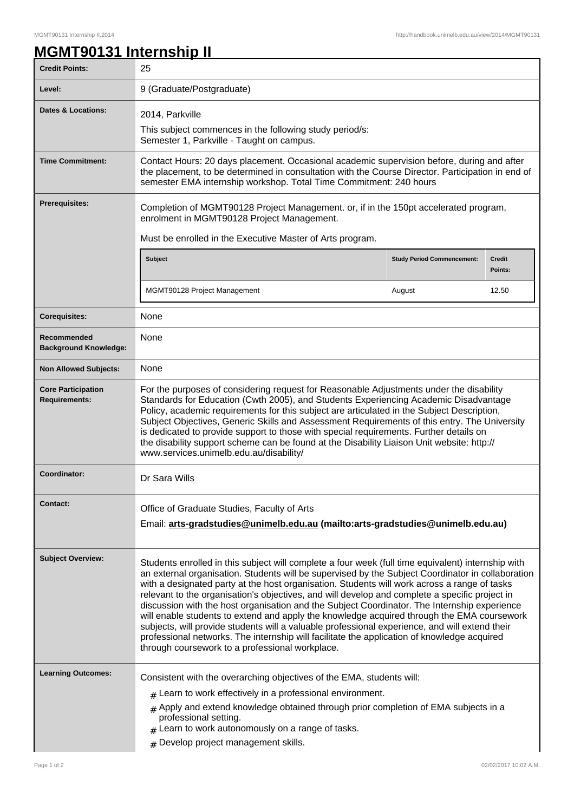٦

## **MGMT90131 Internship II**

| <b>Credit Points:</b>                             | 25                                                                                                                                                                                                                                                                                                                                                                                                                                                                                                                                                                                                                                                                                                                                                                                                                                                          |                                                                       |                          |  |
|---------------------------------------------------|-------------------------------------------------------------------------------------------------------------------------------------------------------------------------------------------------------------------------------------------------------------------------------------------------------------------------------------------------------------------------------------------------------------------------------------------------------------------------------------------------------------------------------------------------------------------------------------------------------------------------------------------------------------------------------------------------------------------------------------------------------------------------------------------------------------------------------------------------------------|-----------------------------------------------------------------------|--------------------------|--|
| Level:                                            | 9 (Graduate/Postgraduate)                                                                                                                                                                                                                                                                                                                                                                                                                                                                                                                                                                                                                                                                                                                                                                                                                                   |                                                                       |                          |  |
| <b>Dates &amp; Locations:</b>                     | 2014, Parkville                                                                                                                                                                                                                                                                                                                                                                                                                                                                                                                                                                                                                                                                                                                                                                                                                                             |                                                                       |                          |  |
|                                                   | This subject commences in the following study period/s:<br>Semester 1, Parkville - Taught on campus.                                                                                                                                                                                                                                                                                                                                                                                                                                                                                                                                                                                                                                                                                                                                                        |                                                                       |                          |  |
| <b>Time Commitment:</b>                           | Contact Hours: 20 days placement. Occasional academic supervision before, during and after<br>the placement, to be determined in consultation with the Course Director. Participation in end of<br>semester EMA internship workshop. Total Time Commitment: 240 hours                                                                                                                                                                                                                                                                                                                                                                                                                                                                                                                                                                                       |                                                                       |                          |  |
| Prerequisites:                                    | Completion of MGMT90128 Project Management. or, if in the 150pt accelerated program,<br>enrolment in MGMT90128 Project Management.                                                                                                                                                                                                                                                                                                                                                                                                                                                                                                                                                                                                                                                                                                                          |                                                                       |                          |  |
|                                                   | Must be enrolled in the Executive Master of Arts program.                                                                                                                                                                                                                                                                                                                                                                                                                                                                                                                                                                                                                                                                                                                                                                                                   |                                                                       |                          |  |
|                                                   | <b>Subject</b>                                                                                                                                                                                                                                                                                                                                                                                                                                                                                                                                                                                                                                                                                                                                                                                                                                              | <b>Study Period Commencement:</b>                                     | <b>Credit</b><br>Points: |  |
|                                                   | MGMT90128 Project Management<br>August                                                                                                                                                                                                                                                                                                                                                                                                                                                                                                                                                                                                                                                                                                                                                                                                                      |                                                                       | 12.50                    |  |
| <b>Corequisites:</b>                              | None                                                                                                                                                                                                                                                                                                                                                                                                                                                                                                                                                                                                                                                                                                                                                                                                                                                        |                                                                       |                          |  |
| Recommended<br><b>Background Knowledge:</b>       | None                                                                                                                                                                                                                                                                                                                                                                                                                                                                                                                                                                                                                                                                                                                                                                                                                                                        |                                                                       |                          |  |
| <b>Non Allowed Subjects:</b>                      | None                                                                                                                                                                                                                                                                                                                                                                                                                                                                                                                                                                                                                                                                                                                                                                                                                                                        |                                                                       |                          |  |
| <b>Core Participation</b><br><b>Requirements:</b> | For the purposes of considering request for Reasonable Adjustments under the disability<br>Standards for Education (Cwth 2005), and Students Experiencing Academic Disadvantage<br>Policy, academic requirements for this subject are articulated in the Subject Description,<br>Subject Objectives, Generic Skills and Assessment Requirements of this entry. The University<br>is dedicated to provide support to those with special requirements. Further details on<br>the disability support scheme can be found at the Disability Liaison Unit website: http://<br>www.services.unimelb.edu.au/disability/                                                                                                                                                                                                                                            |                                                                       |                          |  |
| Coordinator:                                      | Dr Sara Wills                                                                                                                                                                                                                                                                                                                                                                                                                                                                                                                                                                                                                                                                                                                                                                                                                                               |                                                                       |                          |  |
| <b>Contact:</b>                                   | Office of Graduate Studies, Faculty of Arts<br>Email: arts-gradstudies@unimelb.edu.au (mailto: arts-gradstudies@unimelb.edu.au)                                                                                                                                                                                                                                                                                                                                                                                                                                                                                                                                                                                                                                                                                                                             |                                                                       |                          |  |
| <b>Subject Overview:</b>                          | Students enrolled in this subject will complete a four week (full time equivalent) internship with<br>an external organisation. Students will be supervised by the Subject Coordinator in collaboration<br>with a designated party at the host organisation. Students will work across a range of tasks<br>relevant to the organisation's objectives, and will develop and complete a specific project in<br>discussion with the host organisation and the Subject Coordinator. The Internship experience<br>will enable students to extend and apply the knowledge acquired through the EMA coursework<br>subjects, will provide students will a valuable professional experience, and will extend their<br>professional networks. The internship will facilitate the application of knowledge acquired<br>through coursework to a professional workplace. |                                                                       |                          |  |
| <b>Learning Outcomes:</b>                         |                                                                                                                                                                                                                                                                                                                                                                                                                                                                                                                                                                                                                                                                                                                                                                                                                                                             | Consistent with the overarching objectives of the EMA, students will: |                          |  |
|                                                   | $#$ Learn to work effectively in a professional environment.                                                                                                                                                                                                                                                                                                                                                                                                                                                                                                                                                                                                                                                                                                                                                                                                |                                                                       |                          |  |
|                                                   | $#$ Apply and extend knowledge obtained through prior completion of EMA subjects in a<br>professional setting.<br>$#$ Learn to work autonomously on a range of tasks.                                                                                                                                                                                                                                                                                                                                                                                                                                                                                                                                                                                                                                                                                       |                                                                       |                          |  |
|                                                   | Develop project management skills.<br>#                                                                                                                                                                                                                                                                                                                                                                                                                                                                                                                                                                                                                                                                                                                                                                                                                     |                                                                       |                          |  |